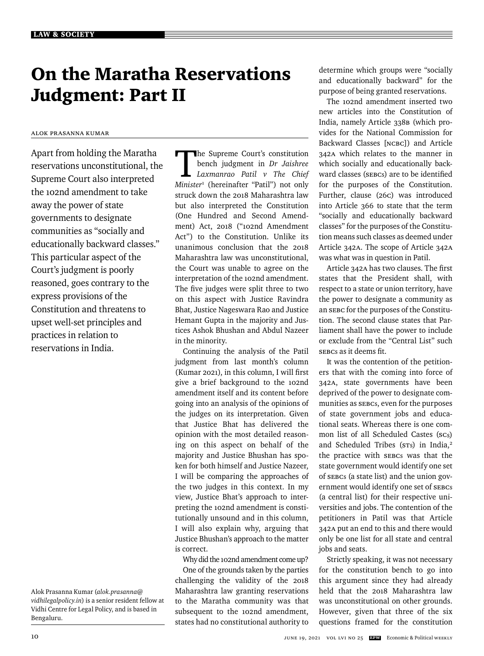# On the Maratha Reservations Judgment: Part II

## Alok Prasanna Kumar

Apart from holding the Maratha reservations unconstitutional, the Supreme Court also interpreted the 102nd amendment to take away the power of state governments to designate communities as "socially and educationally backward classes." This particular aspect of the Court's judgment is poorly reasoned, goes contrary to the express provisions of the Constitution and threatens to upset well-set principles and practices in relation to reservations in India.

The Supreme Court's constitution bench judgment in *Dr Jaishree Laxmanrao Patil v The Chief Minister*<sup>1</sup> (hereinafter "Patil") not only struck down the 2018 Maharashtra law but also interpreted the Constitution (One Hundred and Second Amendment) Act, 2018 ("102nd Amendment Act") to the Constitution. Unlike its unanimous conclusion that the 2018 Maharashtra law was unconstitutional, the Court was unable to agree on the interpretation of the 102nd amendment. The five judges were split three to two on this aspect with Justice Ravindra Bhat, Justice Nageswara Rao and Justice Hemant Gupta in the majority and Justices Ashok Bhushan and Abdul Nazeer in the minority.

Continuing the analysis of the Patil judgment from last month's column  $(Kumar 2021)$ , in this column, I will first give a brief background to the 102nd amendment itself and its content before going into an analysis of the opinions of the judges on its interpretation. Given that Justice Bhat has delivered the opinion with the most detailed reasoning on this aspect on behalf of the majority and Justice Bhushan has spoken for both himself and Justice Nazeer, I will be comparing the approaches of the two judges in this context. In my view, Justice Bhat's approach to interpreting the 102nd amendment is constitutionally unsound and in this column, I will also explain why, arguing that Justice Bhushan's approach to the matter is correct.

Why did the 102nd amendment come up?

One of the grounds taken by the parties challenging the validity of the 2018 Maharashtra law granting reservations to the Maratha community was that subsequent to the 102nd amendment, states had no constitutional authority to

determine which groups were "socially and educationally backward" for the purpose of being granted reservations.

The 102nd amendment inserted two new articles into the Constitution of India, namely Article 338B (which provides for the National Commission for Backward Classes [NCBC]) and Article 342A which relates to the manner in which socially and educationally backward classes (SEBCs) are to be identified for the purposes of the Constitution. Further, clause (26C) was introduced into Article 366 to state that the term "socially and educationally backward classes" for the purposes of the Constitution means such classes as deemed under Article 342A. The scope of Article 342A was what was in question in Patil.

Article 342A has two clauses. The first states that the President shall, with respect to a state or union territory, have the power to designate a community as an SEBC for the purposes of the Constitution. The second clause states that Parliament shall have the power to include or exclude from the "Central List" such sebcs as it deems fit.

It was the contention of the petitioners that with the coming into force of 342A, state governments have been deprived of the power to designate communities as SEBCs, even for the purposes of state government jobs and educational seats. Whereas there is one common list of all Scheduled Castes (scs) and Scheduled Tribes (STs) in India,<sup>2</sup> the practice with SEBCs was that the state government would identify one set of SEBCs (a state list) and the union government would identify one set of SEBCs (a central list) for their respective universities and jobs. The contention of the petitioners in Patil was that Article 342A put an end to this and there would only be one list for all state and central jobs and seats.

Strictly speaking, it was not necessary for the constitution bench to go into this argument since they had already held that the 2018 Maharashtra law was unconstitutional on other grounds. However, given that three of the six questions framed for the constitution

Alok Prasanna Kumar (*alok.prasanna@ vidhilegalpolicy.in*) is a senior resident fellow at Vidhi Centre for Legal Policy, and is based in Bengaluru.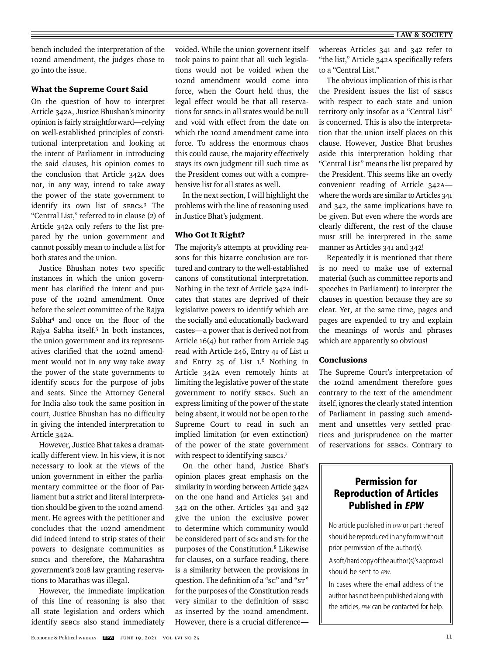bench included the interpretation of the 102nd amendment, the judges chose to go into the issue.

#### What the Supreme Court Said

On the question of how to interpret Article 342A, Justice Bhushan's minority opinion is fairly straightforward—relying on well-established principles of constitutional interpretation and looking at the intent of Parliament in introducing the said clauses, his opinion comes to the conclusion that Article 342A does not, in any way, intend to take away the power of the state government to identify its own list of SEBCs. 3 The "Central List," referred to in clause (2) of Article 342A only refers to the list prepared by the union government and cannot possibly mean to include a list for both states and the union.

Justice Bhushan notes two specific instances in which the union government has clarified the intent and purpose of the 102nd amendment. Once before the select committee of the Rajya Sabha<sup>4</sup> and once on the floor of the Rajya Sabha itself.5 In both instances, the union government and its representatives clarified that the 102nd amendment would not in any way take away the power of the state governments to identify SEBCs for the purpose of jobs and seats. Since the Attorney General for India also took the same position in court, Justice Bhushan has no difficulty in giving the intended interpretation to Article 342A.

However, Justice Bhat takes a dramatically different view. In his view, it is not necessary to look at the views of the union government in either the parliamentary committee or the floor of Parliament but a strict and literal interpretation should be given to the 102nd amendment. He agrees with the petitioner and concludes that the 102nd amendment did indeed intend to strip states of their powers to designate communities as SEBCs and therefore, the Maharashtra government's 2018 law granting reservations to Marathas was illegal.

However, the immediate implication of this line of reasoning is also that all state legislation and orders which identify SEBCs also stand immediately voided. While the union governent itself took pains to paint that all such legislations would not be voided when the 102nd amendment would come into force, when the Court held thus, the legal effect would be that all reservations for SEBCs in all states would be null and void with effect from the date on which the 102nd amendment came into force. To address the enormous chaos this could cause, the majority effectively stays its own judgment till such time as the President comes out with a comprehensive list for all states as well.

In the next section, I will highlight the problems with the line of reasoning used in Justice Bhat's judgment.

#### Who Got It Right?

The majority's attempts at providing reasons for this bizarre conclusion are tortured and contrary to the well-established canons of constitutional interpretation. Nothing in the text of Article 342A indicates that states are deprived of their legislative powers to identify which are the socially and educationally backward castes—a power that is derived not from Article 16(4) but rather from Article 245 read with Article 246, Entry 41 of List II and Entry 25 of List I. 6 Nothing in Article 342A even remotely hints at limiting the legislative power of the state government to notify SEBCs. Such an express limiting of the power of the state being absent, it would not be open to the Supreme Court to read in such an implied limitation (or even extinction) of the power of the state government with respect to identifying SEBCs.7

On the other hand, Justice Bhat's opinion places great emphasis on the similarity in wording between Article 342A on the one hand and Articles 341 and 342 on the other. Articles 341 and 342 give the union the exclusive power to determine which community would be considered part of SCs and STs for the purposes of the Constitution.8 Likewise for clauses, on a surface reading, there is a similarity between the provisions in question. The definition of a "sc" and "s $\tau$ " for the purposes of the Constitution reads very similar to the definition of SEBC as inserted by the 102nd amendment. However, there is a crucial differencewhereas Articles 341 and 342 refer to "the list," Article 342A specifically refers to a "Central List."

The obvious implication of this is that the President issues the list of SEBCs with respect to each state and union territory only insofar as a "Central List" is concerned. This is also the interpretation that the union itself places on this clause. However, Justice Bhat brushes aside this interpretation holding that "Central List" means the list prepared by the President. This seems like an overly convenient reading of Article 342A where the words are similar to Articles 341 and 342, the same implications have to be given. But even where the words are clearly different, the rest of the clause must still be interpreted in the same manner as Articles 341 and 342!

Repeatedly it is mentioned that there is no need to make use of external material (such as committee reports and speeches in Parliament) to interpret the clauses in question because they are so clear. Yet, at the same time, pages and pages are expended to try and explain the meanings of words and phrases which are apparently so obvious!

### Conclusions

The Supreme Court's interpretation of the 102nd amendment therefore goes contrary to the text of the amendment itself, ignores the clearly stated intention of Parliament in passing such amendment and unsettles very settled practices and jurisprudence on the matter of reservations for SEBCs. Contrary to

# **Permission for Reproduction of Articles Published in** *EPW*

No article published in *EPW* or part thereof should be reproduced in any form without prior permission of the author(s).

A soft/hard copy of the author(s)'s approval should be sent to **FPW**.

In cases where the email address of the author has not been published along with the articles, *EPW* can be contacted for help.